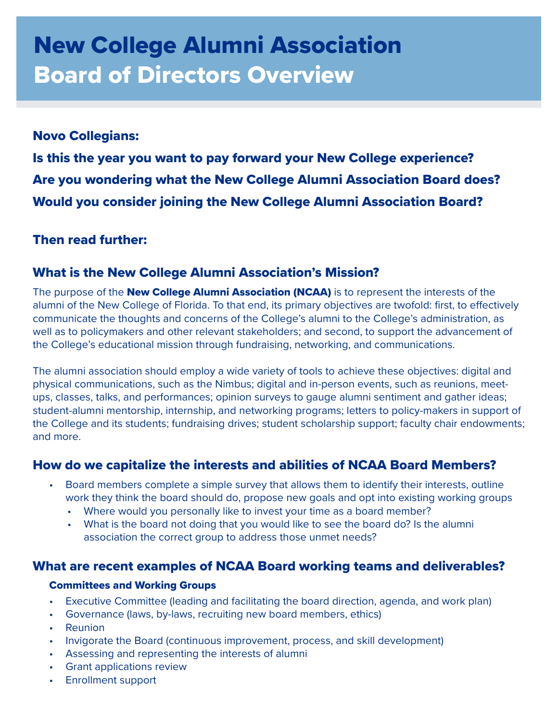# New College Alumni Association Board of Directors Overview

# Novo Collegians:

Is this the year you want to pay forward your New College experience? Are you wondering what the New College Alumni Association Board does? Would you consider joining the New College Alumni Association Board?

# Then read further:

# What is the New College Alumni Association's Mission?

The purpose of the **New College Alumni Association (NCAA)** is to represent the interests of the alumni of the New College of Florida. To that end, its primary objectives are twofold: first, to effectively communicate the thoughts and concerns of the College's alumni to the College's administration, as well as to policymakers and other relevant stakeholders; and second, to support the advancement of the College's educational mission through fundraising, networking, and communications.

The alumni association should employ a wide variety of tools to achieve these objectives: digital and physical communications, such as the Nimbus; digital and in-person events, such as reunions, meetups, classes, talks, and performances; opinion surveys to gauge alumni sentiment and gather ideas; student-alumni mentorship, internship, and networking programs; letters to policy-makers in support of the College and its students; fundraising drives; student scholarship support; faculty chair endowments; and more.

# How do we capitalize the interests and abilities of NCAA Board Members?

- Board members complete a simple survey that allows them to identify their interests, outline work they think the board should do, propose new goals and opt into existing working groups
	- Where would you personally like to invest your time as a board member?
	- What is the board not doing that you would like to see the board do? Is the alumni association the correct group to address those unmet needs?

## What are recent examples of NCAA Board working teams and deliverables?

#### Committees and Working Groups

- Executive Committee (leading and facilitating the board direction, agenda, and work plan)
- Governance (laws, by-laws, recruiting new board members, ethics)
- Reunion
- Invigorate the Board (continuous improvement, process, and skill development)
- Assessing and representing the interests of alumni
- Grant applications review
- Enrollment support